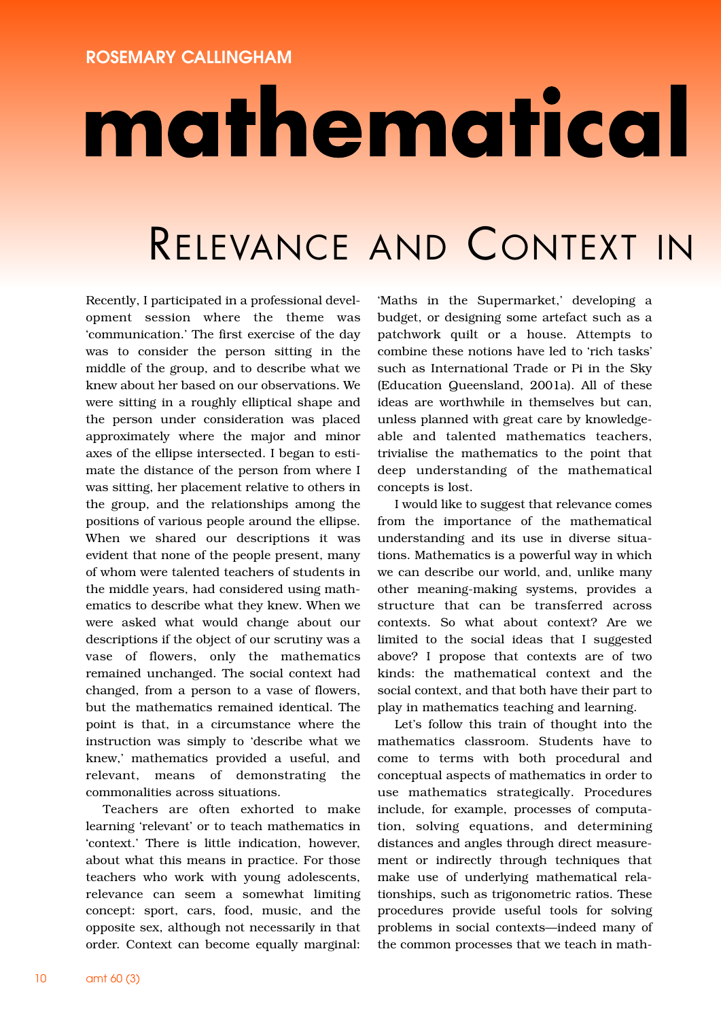## mathematical

## RELEVANCE AND CONTEXT IN

Recently, I participated in a professional development session where the theme was 'communication.' The first exercise of the day was to consider the person sitting in the middle of the group, and to describe what we knew about her based on our observations. We were sitting in a roughly elliptical shape and the person under consideration was placed approximately where the major and minor axes of the ellipse intersected. I began to estimate the distance of the person from where I was sitting, her placement relative to others in the group, and the relationships among the positions of various people around the ellipse. When we shared our descriptions it was evident that none of the people present, many of whom were talented teachers of students in the middle years, had considered using mathematics to describe what they knew. When we were asked what would change about our descriptions if the object of our scrutiny was a vase of flowers, only the mathematics remained unchanged. The social context had changed, from a person to a vase of flowers, but the mathematics remained identical. The point is that, in a circumstance where the instruction was simply to 'describe what we knew,' mathematics provided a useful, and relevant, means of demonstrating the commonalities across situations.

Teachers are often exhorted to make learning 'relevant' or to teach mathematics in 'context.' There is little indication, however, about what this means in practice. For those teachers who work with young adolescents, relevance can seem a somewhat limiting concept: sport, cars, food, music, and the opposite sex, although not necessarily in that order. Context can become equally marginal:

'Maths in the Supermarket,' developing a budget, or designing some artefact such as a patchwork quilt or a house. Attempts to combine these notions have led to 'rich tasks' such as International Trade or Pi in the Sky (Education Queensland, 2001a). All of these ideas are worthwhile in themselves but can, unless planned with great care by knowledgeable and talented mathematics teachers, trivialise the mathematics to the point that deep understanding of the mathematical concepts is lost.

I would like to suggest that relevance comes from the importance of the mathematical understanding and its use in diverse situations. Mathematics is a powerful way in which we can describe our world, and, unlike many other meaning-making systems, provides a structure that can be transferred across contexts. So what about context? Are we limited to the social ideas that I suggested above? I propose that contexts are of two kinds: the mathematical context and the social context, and that both have their part to play in mathematics teaching and learning.

Let's follow this train of thought into the mathematics classroom. Students have to come to terms with both procedural and conceptual aspects of mathematics in order to use mathematics strategically. Procedures include, for example, processes of computation, solving equations, and determining distances and angles through direct measurement or indirectly through techniques that make use of underlying mathematical relationships, such as trigonometric ratios. These procedures provide useful tools for solving problems in social contexts—indeed many of the common processes that we teach in math-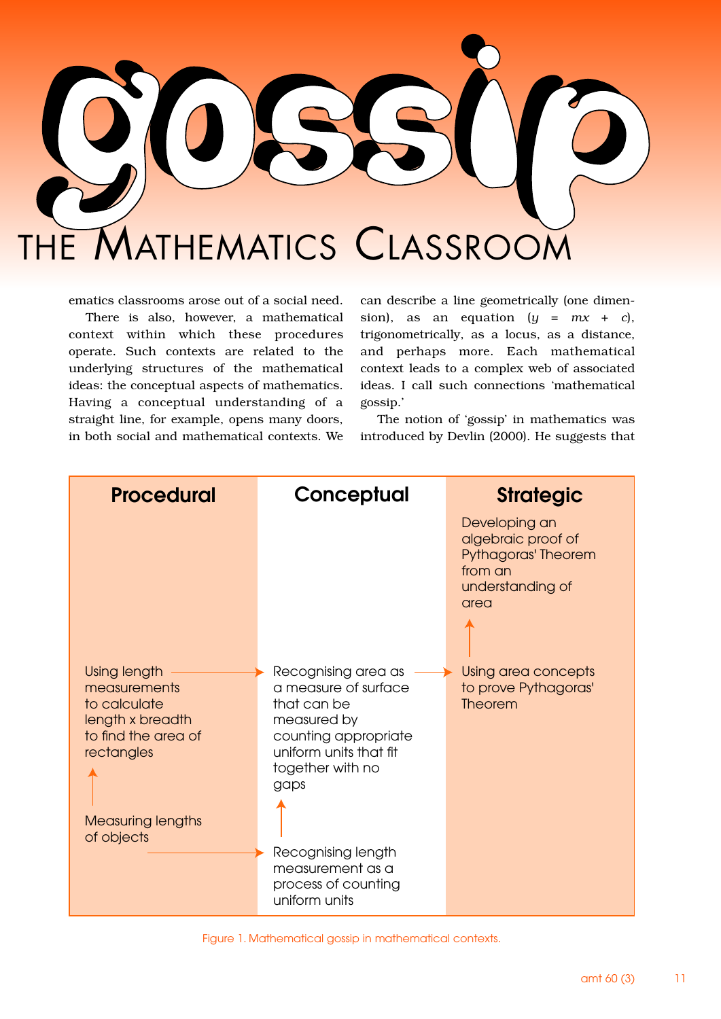

ematics classrooms arose out of a social need.

There is also, however, a mathematical context within which these procedures operate. Such contexts are related to the underlying structures of the mathematical ideas: the conceptual aspects of mathematics. Having a conceptual understanding of a straight line, for example, opens many doors, in both social and mathematical contexts. We

can describe a line geometrically (one dimension), as an equation  $(y = mx + c)$ , trigonometrically, as a locus, as a distance, and perhaps more. Each mathematical context leads to a complex web of associated ideas. I call such connections 'mathematical gossip.'

The notion of 'gossip' in mathematics was introduced by Devlin (2000). He suggests that



Figure 1. Mathematical gossip in mathematical contexts.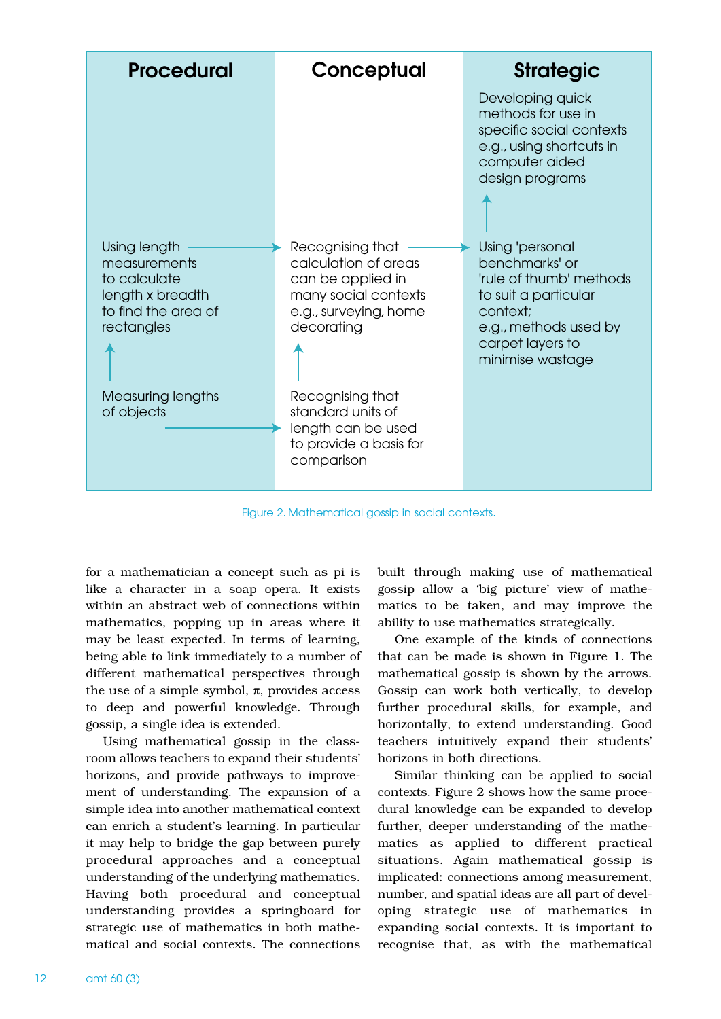

Figure 2. Mathematical gossip in social contexts.

for a mathematician a concept such as pi is like a character in a soap opera. It exists within an abstract web of connections within mathematics, popping up in areas where it may be least expected. In terms of learning, being able to link immediately to a number of different mathematical perspectives through the use of a simple symbol,  $\pi$ , provides access to deep and powerful knowledge. Through gossip, a single idea is extended.

Using mathematical gossip in the classroom allows teachers to expand their students' horizons, and provide pathways to improvement of understanding. The expansion of a simple idea into another mathematical context can enrich a student's learning. In particular it may help to bridge the gap between purely procedural approaches and a conceptual understanding of the underlying mathematics. Having both procedural and conceptual understanding provides a springboard for strategic use of mathematics in both mathematical and social contexts. The connections

built through making use of mathematical gossip allow a 'big picture' view of mathematics to be taken, and may improve the ability to use mathematics strategically.

One example of the kinds of connections that can be made is shown in Figure 1. The mathematical gossip is shown by the arrows. Gossip can work both vertically, to develop further procedural skills, for example, and horizontally, to extend understanding. Good teachers intuitively expand their students' horizons in both directions.

Similar thinking can be applied to social contexts. Figure 2 shows how the same procedural knowledge can be expanded to develop further, deeper understanding of the mathematics as applied to different practical situations. Again mathematical gossip is implicated: connections among measurement, number, and spatial ideas are all part of developing strategic use of mathematics in expanding social contexts. It is important to recognise that, as with the mathematical